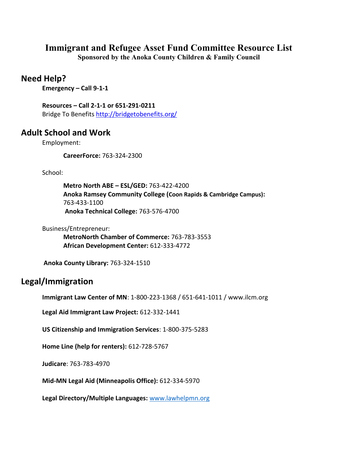# **Immigrant and Refugee Asset Fund Committee Resource List**

**Sponsored by the Anoka County Children & Family Council**

# **Need Help?**

**Emergency – Call 9-1-1** 

**Resources – Call 2-1-1 or 651-291-0211** Bridge To Benefit[s http://bridgetobenefits.org/](http://bridgetobenefits.org/)

# **Adult School and Work**

Employment:

**CareerForce:** 763-324-2300

School:

**Metro North ABE – ESL/GED:** 763-422-4200 **Anoka Ramsey Community College (Coon Rapids & Cambridge Campus):** 763-433-1100 **Anoka Technical College:** 763-576-4700

Business/Entrepreneur:

**MetroNorth Chamber of Commerce:** 763-783-3553 **African Development Center:** 612-333-4772

**Anoka County Library:** 763-324-1510

## **Legal/Immigration**

**Immigrant Law Center of MN**: 1-800-223-1368 / 651-641-1011 / www.ilcm.org

**Legal Aid Immigrant Law Project:** 612-332-1441

**US Citizenship and Immigration Services**: 1-800-375-5283

**Home Line (help for renters):** 612-728-5767

**Judicare**: 763-783-4970

**Mid-MN Legal Aid (Minneapolis Office):** 612-334-5970

**Legal Directory/Multiple Languages:** [www.lawhelpmn.org](http://www.lawhelpmn.org/)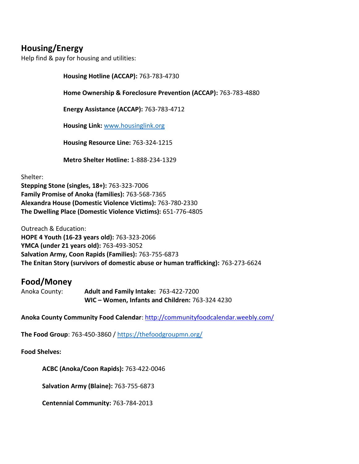# **Housing/Energy**

Help find & pay for housing and utilities:

**Housing Hotline (ACCAP):** 763-783-4730

**Home Ownership & Foreclosure Prevention (ACCAP):** 763-783-4880

**Energy Assistance (ACCAP):** 763-783-4712

**Housing Link:** [www.housinglink.org](http://www.housinglink.org/)

**Housing Resource Line:** 763-324-1215

**Metro Shelter Hotline:** 1-888-234-1329

Shelter:

**Stepping Stone (singles, 18+):** 763-323-7006 **Family Promise of Anoka (families):** 763-568-7365 **Alexandra House (Domestic Violence Victims):** 763-780-2330 **The Dwelling Place (Domestic Violence Victims):** 651-776-4805

Outreach & Education: **HOPE 4 Youth (16-23 years old):** 763-323-2066 **YMCA (under 21 years old):** 763-493-3052 **Salvation Army, Coon Rapids (Families):** 763-755-6873 **The Enitan Story (survivors of domestic abuse or human trafficking):** 763-273-6624

## **Food/Money**

Anoka County: **Adult and Family Intake:** 763-422-7200 **WIC – Women, Infants and Children:** 763-324 4230

**Anoka County Community Food Calendar**: <http://communityfoodcalendar.weebly.com/>

**The Food Group**: 763-450-3860 /<https://thefoodgroupmn.org/>

**Food Shelves:**

**ACBC (Anoka/Coon Rapids):** 763-422-0046

**Salvation Army (Blaine):** 763-755-6873

**Centennial Community:** 763-784-2013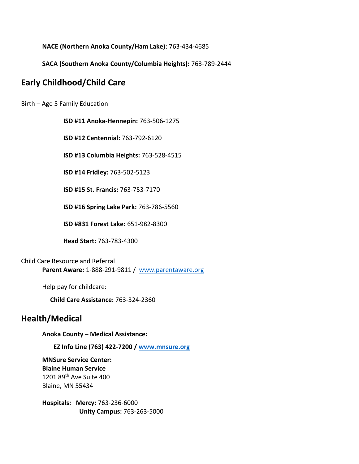**NACE (Northern Anoka County/Ham Lake)**: 763-434-4685

**SACA (Southern Anoka County/Columbia Heights):** 763-789-2444

## **Early Childhood/Child Care**

Birth – Age 5 Family Education

**ISD #11 Anoka-Hennepin:** 763-506-1275

**ISD #12 Centennial:** 763-792-6120

**ISD #13 Columbia Heights:** 763-528-4515

**ISD #14 Fridley:** 763-502-5123

**ISD #15 St. Francis:** 763-753-7170

**ISD #16 Spring Lake Park:** 763-786-5560

**ISD #831 Forest Lake:** 651-982-8300

**Head Start:** 763-783-4300

Child Care Resource and Referral **Parent Aware:** 1-888-291-9811 / www.parentaware.org

Help pay for childcare:

**Child Care Assistance:** 763-324-2360

## **Health/Medical**

**Anoka County – Medical Assistance:**

**EZ Info Line (763) 422-7200 / [www.mnsure.org](http://www.mnsure.org/)**

**MNSure Service Center: Blaine Human Service** 1201 89th Ave Suite 400 Blaine, MN 55434

**Hospitals: Mercy:** 763-236-6000  **Unity Campus:** 763-263-5000